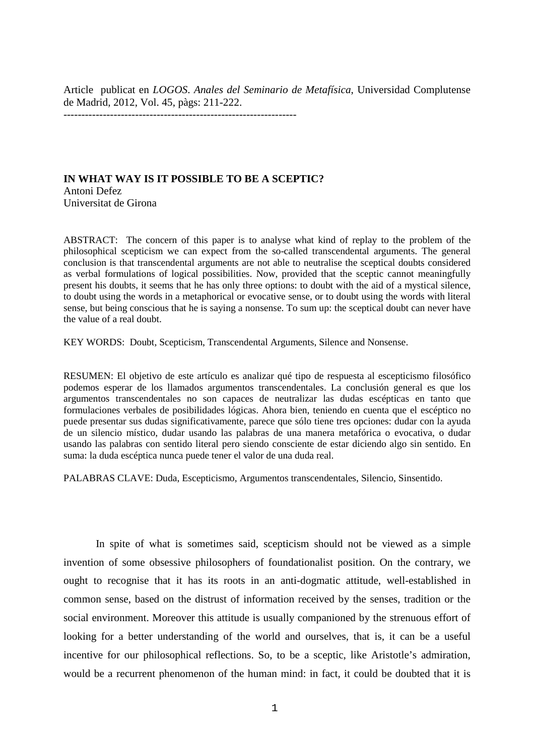Article publicat en *LOGOS*. *Anales del Seminario de Metafísica*, Universidad Complutense de Madrid, 2012, Vol. 45, pàgs: 211-222.

-----------------------------------------------------------------

## **IN WHAT WAY IS IT POSSIBLE TO BE A SCEPTIC?**  Antoni Defez Universitat de Girona

ABSTRACT: The concern of this paper is to analyse what kind of replay to the problem of the philosophical scepticism we can expect from the so-called transcendental arguments. The general conclusion is that transcendental arguments are not able to neutralise the sceptical doubts considered as verbal formulations of logical possibilities. Now, provided that the sceptic cannot meaningfully present his doubts, it seems that he has only three options: to doubt with the aid of a mystical silence, to doubt using the words in a metaphorical or evocative sense, or to doubt using the words with literal sense, but being conscious that he is saying a nonsense. To sum up: the sceptical doubt can never have the value of a real doubt.

KEY WORDS: Doubt, Scepticism, Transcendental Arguments, Silence and Nonsense.

RESUMEN: El objetivo de este artículo es analizar qué tipo de respuesta al escepticismo filosófico podemos esperar de los llamados argumentos transcendentales. La conclusión general es que los argumentos transcendentales no son capaces de neutralizar las dudas escépticas en tanto que formulaciones verbales de posibilidades lógicas. Ahora bien, teniendo en cuenta que el escéptico no puede presentar sus dudas significativamente, parece que sólo tiene tres opciones: dudar con la ayuda de un silencio místico, dudar usando las palabras de una manera metafórica o evocativa, o dudar usando las palabras con sentido literal pero siendo consciente de estar diciendo algo sin sentido. En suma: la duda escéptica nunca puede tener el valor de una duda real.

PALABRAS CLAVE: Duda, Escepticismo, Argumentos transcendentales, Silencio, Sinsentido.

 In spite of what is sometimes said, scepticism should not be viewed as a simple invention of some obsessive philosophers of foundationalist position. On the contrary, we ought to recognise that it has its roots in an anti-dogmatic attitude, well-established in common sense, based on the distrust of information received by the senses, tradition or the social environment. Moreover this attitude is usually companioned by the strenuous effort of looking for a better understanding of the world and ourselves, that is, it can be a useful incentive for our philosophical reflections. So, to be a sceptic, like Aristotle's admiration, would be a recurrent phenomenon of the human mind: in fact, it could be doubted that it is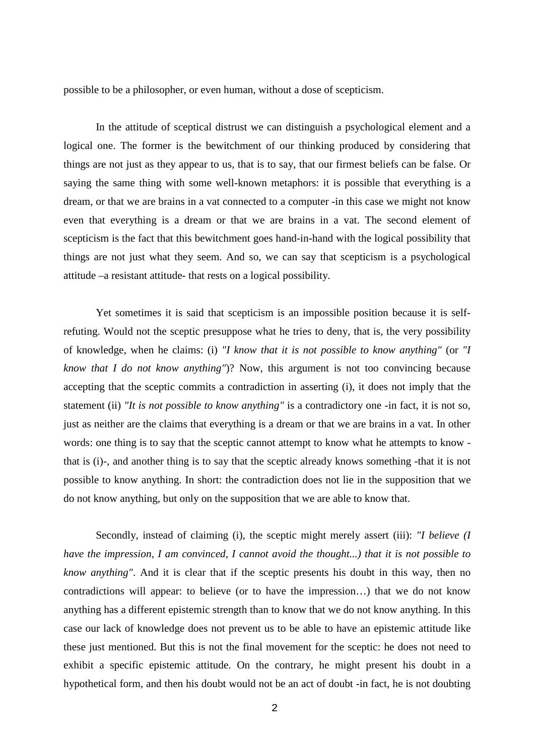possible to be a philosopher, or even human, without a dose of scepticism.

 In the attitude of sceptical distrust we can distinguish a psychological element and a logical one. The former is the bewitchment of our thinking produced by considering that things are not just as they appear to us, that is to say, that our firmest beliefs can be false. Or saying the same thing with some well-known metaphors: it is possible that everything is a dream, or that we are brains in a vat connected to a computer -in this case we might not know even that everything is a dream or that we are brains in a vat. The second element of scepticism is the fact that this bewitchment goes hand-in-hand with the logical possibility that things are not just what they seem. And so, we can say that scepticism is a psychological attitude –a resistant attitude- that rests on a logical possibility.

 Yet sometimes it is said that scepticism is an impossible position because it is selfrefuting. Would not the sceptic presuppose what he tries to deny, that is, the very possibility of knowledge, when he claims: (i) *"I know that it is not possible to know anything"* (or *"I know that I do not know anything"*)? Now, this argument is not too convincing because accepting that the sceptic commits a contradiction in asserting (i), it does not imply that the statement (ii) *"It is not possible to know anything"* is a contradictory one -in fact, it is not so, just as neither are the claims that everything is a dream or that we are brains in a vat. In other words: one thing is to say that the sceptic cannot attempt to know what he attempts to know that is (i)-, and another thing is to say that the sceptic already knows something -that it is not possible to know anything. In short: the contradiction does not lie in the supposition that we do not know anything, but only on the supposition that we are able to know that.

 Secondly, instead of claiming (i), the sceptic might merely assert (iii): *"I believe (I have the impression, I am convinced, I cannot avoid the thought...) that it is not possible to know anything"*. And it is clear that if the sceptic presents his doubt in this way, then no contradictions will appear: to believe (or to have the impression…) that we do not know anything has a different epistemic strength than to know that we do not know anything. In this case our lack of knowledge does not prevent us to be able to have an epistemic attitude like these just mentioned. But this is not the final movement for the sceptic: he does not need to exhibit a specific epistemic attitude. On the contrary, he might present his doubt in a hypothetical form, and then his doubt would not be an act of doubt -in fact, he is not doubting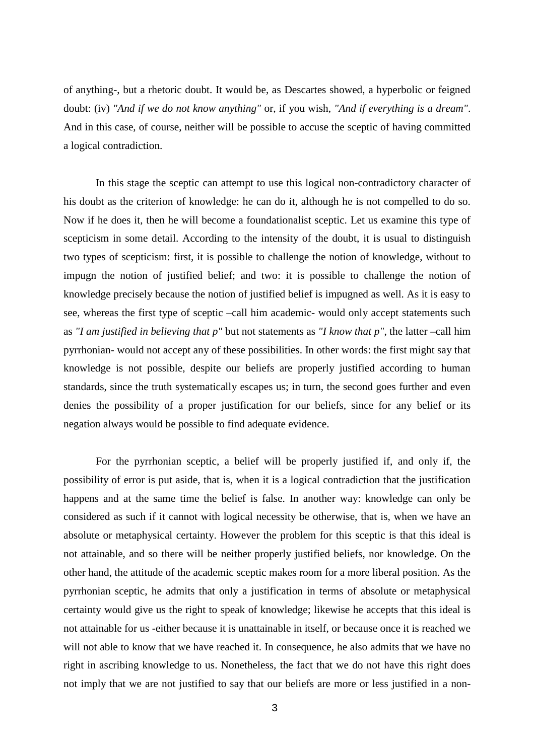of anything-, but a rhetoric doubt. It would be, as Descartes showed, a hyperbolic or feigned doubt: (iv) *"And if we do not know anything"* or, if you wish, *"And if everything is a dream"*. And in this case, of course, neither will be possible to accuse the sceptic of having committed a logical contradiction.

In this stage the sceptic can attempt to use this logical non-contradictory character of his doubt as the criterion of knowledge: he can do it, although he is not compelled to do so. Now if he does it, then he will become a foundationalist sceptic. Let us examine this type of scepticism in some detail. According to the intensity of the doubt, it is usual to distinguish two types of scepticism: first, it is possible to challenge the notion of knowledge, without to impugn the notion of justified belief; and two: it is possible to challenge the notion of knowledge precisely because the notion of justified belief is impugned as well. As it is easy to see, whereas the first type of sceptic –call him academic- would only accept statements such as *"I am justified in believing that p"* but not statements as *"I know that p"*, the latter –call him pyrrhonian- would not accept any of these possibilities. In other words: the first might say that knowledge is not possible, despite our beliefs are properly justified according to human standards, since the truth systematically escapes us; in turn, the second goes further and even denies the possibility of a proper justification for our beliefs, since for any belief or its negation always would be possible to find adequate evidence.

 For the pyrrhonian sceptic, a belief will be properly justified if, and only if, the possibility of error is put aside, that is, when it is a logical contradiction that the justification happens and at the same time the belief is false. In another way: knowledge can only be considered as such if it cannot with logical necessity be otherwise, that is, when we have an absolute or metaphysical certainty. However the problem for this sceptic is that this ideal is not attainable, and so there will be neither properly justified beliefs, nor knowledge. On the other hand, the attitude of the academic sceptic makes room for a more liberal position. As the pyrrhonian sceptic, he admits that only a justification in terms of absolute or metaphysical certainty would give us the right to speak of knowledge; likewise he accepts that this ideal is not attainable for us -either because it is unattainable in itself, or because once it is reached we will not able to know that we have reached it. In consequence, he also admits that we have no right in ascribing knowledge to us. Nonetheless, the fact that we do not have this right does not imply that we are not justified to say that our beliefs are more or less justified in a non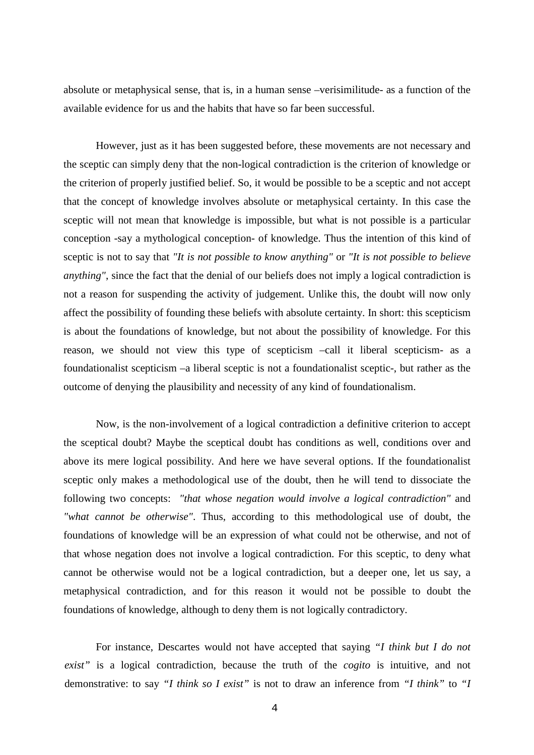absolute or metaphysical sense, that is, in a human sense –verisimilitude- as a function of the available evidence for us and the habits that have so far been successful.

 However, just as it has been suggested before, these movements are not necessary and the sceptic can simply deny that the non-logical contradiction is the criterion of knowledge or the criterion of properly justified belief. So, it would be possible to be a sceptic and not accept that the concept of knowledge involves absolute or metaphysical certainty. In this case the sceptic will not mean that knowledge is impossible, but what is not possible is a particular conception -say a mythological conception- of knowledge. Thus the intention of this kind of sceptic is not to say that *"It is not possible to know anything"* or *"It is not possible to believe anything"*, since the fact that the denial of our beliefs does not imply a logical contradiction is not a reason for suspending the activity of judgement. Unlike this, the doubt will now only affect the possibility of founding these beliefs with absolute certainty. In short: this scepticism is about the foundations of knowledge, but not about the possibility of knowledge. For this reason, we should not view this type of scepticism –call it liberal scepticism- as a foundationalist scepticism –a liberal sceptic is not a foundationalist sceptic-, but rather as the outcome of denying the plausibility and necessity of any kind of foundationalism.

Now, is the non-involvement of a logical contradiction a definitive criterion to accept the sceptical doubt? Maybe the sceptical doubt has conditions as well, conditions over and above its mere logical possibility. And here we have several options. If the foundationalist sceptic only makes a methodological use of the doubt, then he will tend to dissociate the following two concepts: *"that whose negation would involve a logical contradiction"* and *"what cannot be otherwise"*. Thus, according to this methodological use of doubt, the foundations of knowledge will be an expression of what could not be otherwise, and not of that whose negation does not involve a logical contradiction. For this sceptic, to deny what cannot be otherwise would not be a logical contradiction, but a deeper one, let us say, a metaphysical contradiction, and for this reason it would not be possible to doubt the foundations of knowledge, although to deny them is not logically contradictory.

 For instance, Descartes would not have accepted that saying *"I think but I do not exist"* is a logical contradiction, because the truth of the *cogito* is intuitive, and not demonstrative: to say *"I think so I exist"* is not to draw an inference from *"I think"* to *"I*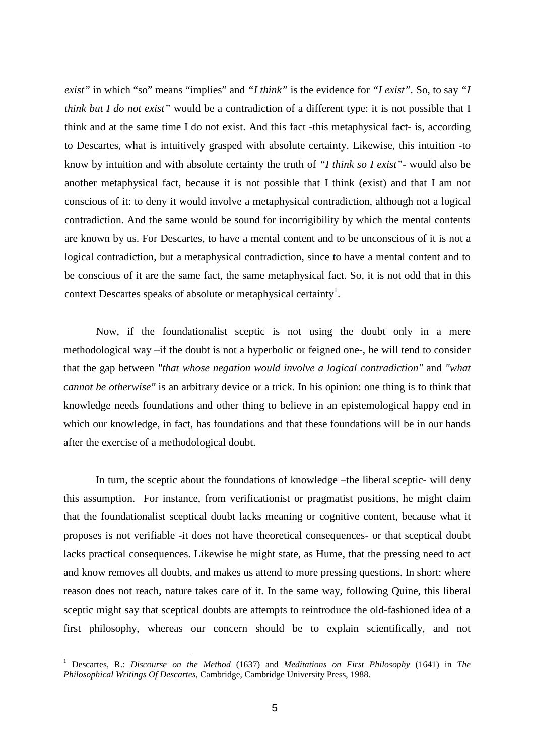*exist"* in which "so" means "implies" and *"I think"* is the evidence for *"I exist".* So, to say *"I think but I do not exist*" would be a contradiction of a different type: it is not possible that I think and at the same time I do not exist. And this fact -this metaphysical fact- is, according to Descartes, what is intuitively grasped with absolute certainty. Likewise, this intuition -to know by intuition and with absolute certainty the truth of *"I think so I exist"*- would also be another metaphysical fact, because it is not possible that I think (exist) and that I am not conscious of it: to deny it would involve a metaphysical contradiction, although not a logical contradiction. And the same would be sound for incorrigibility by which the mental contents are known by us. For Descartes, to have a mental content and to be unconscious of it is not a logical contradiction, but a metaphysical contradiction, since to have a mental content and to be conscious of it are the same fact, the same metaphysical fact. So, it is not odd that in this context Descartes speaks of absolute or metaphysical certainty<sup>1</sup>.

Now, if the foundationalist sceptic is not using the doubt only in a mere methodological way –if the doubt is not a hyperbolic or feigned one-, he will tend to consider that the gap between *"that whose negation would involve a logical contradiction"* and *"what cannot be otherwise"* is an arbitrary device or a trick. In his opinion: one thing is to think that knowledge needs foundations and other thing to believe in an epistemological happy end in which our knowledge, in fact, has foundations and that these foundations will be in our hands after the exercise of a methodological doubt.

In turn, the sceptic about the foundations of knowledge –the liberal sceptic- will deny this assumption. For instance, from verificationist or pragmatist positions, he might claim that the foundationalist sceptical doubt lacks meaning or cognitive content, because what it proposes is not verifiable -it does not have theoretical consequences- or that sceptical doubt lacks practical consequences. Likewise he might state, as Hume, that the pressing need to act and know removes all doubts, and makes us attend to more pressing questions. In short: where reason does not reach, nature takes care of it. In the same way, following Quine, this liberal sceptic might say that sceptical doubts are attempts to reintroduce the old-fashioned idea of a first philosophy, whereas our concern should be to explain scientifically, and not

i

<sup>1</sup> Descartes, R.: *Discourse on the Method* (1637) and *Meditations on First Philosophy* (1641) in *The Philosophical Writings Of Descartes*, Cambridge, Cambridge University Press, 1988.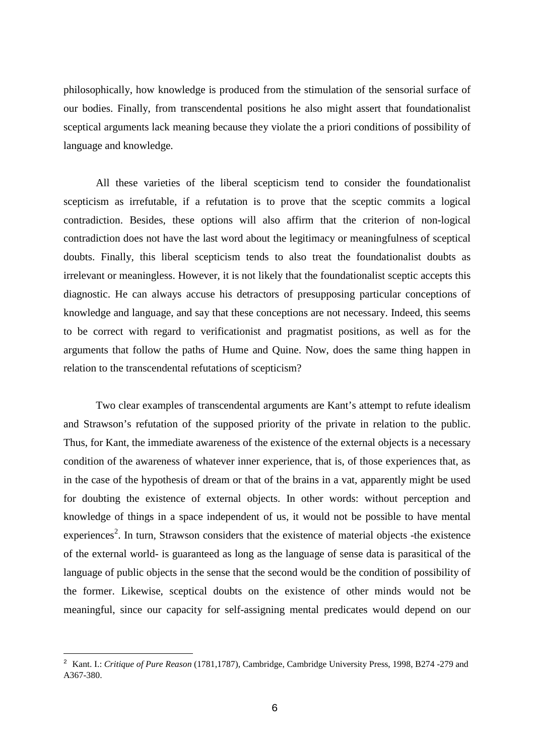philosophically, how knowledge is produced from the stimulation of the sensorial surface of our bodies. Finally, from transcendental positions he also might assert that foundationalist sceptical arguments lack meaning because they violate the a priori conditions of possibility of language and knowledge.

 All these varieties of the liberal scepticism tend to consider the foundationalist scepticism as irrefutable, if a refutation is to prove that the sceptic commits a logical contradiction. Besides, these options will also affirm that the criterion of non-logical contradiction does not have the last word about the legitimacy or meaningfulness of sceptical doubts. Finally, this liberal scepticism tends to also treat the foundationalist doubts as irrelevant or meaningless. However, it is not likely that the foundationalist sceptic accepts this diagnostic. He can always accuse his detractors of presupposing particular conceptions of knowledge and language, and say that these conceptions are not necessary. Indeed, this seems to be correct with regard to verificationist and pragmatist positions, as well as for the arguments that follow the paths of Hume and Quine. Now, does the same thing happen in relation to the transcendental refutations of scepticism?

Two clear examples of transcendental arguments are Kant's attempt to refute idealism and Strawson's refutation of the supposed priority of the private in relation to the public. Thus, for Kant, the immediate awareness of the existence of the external objects is a necessary condition of the awareness of whatever inner experience, that is, of those experiences that, as in the case of the hypothesis of dream or that of the brains in a vat, apparently might be used for doubting the existence of external objects. In other words: without perception and knowledge of things in a space independent of us, it would not be possible to have mental experiences<sup>2</sup>. In turn, Strawson considers that the existence of material objects -the existence of the external world- is guaranteed as long as the language of sense data is parasitical of the language of public objects in the sense that the second would be the condition of possibility of the former. Likewise, sceptical doubts on the existence of other minds would not be meaningful, since our capacity for self-assigning mental predicates would depend on our

i<br>H

<sup>2</sup> Kant. I.: *Critique of Pure Reason* (1781,1787), Cambridge, Cambridge University Press, 1998, B274 -279 and A367-380.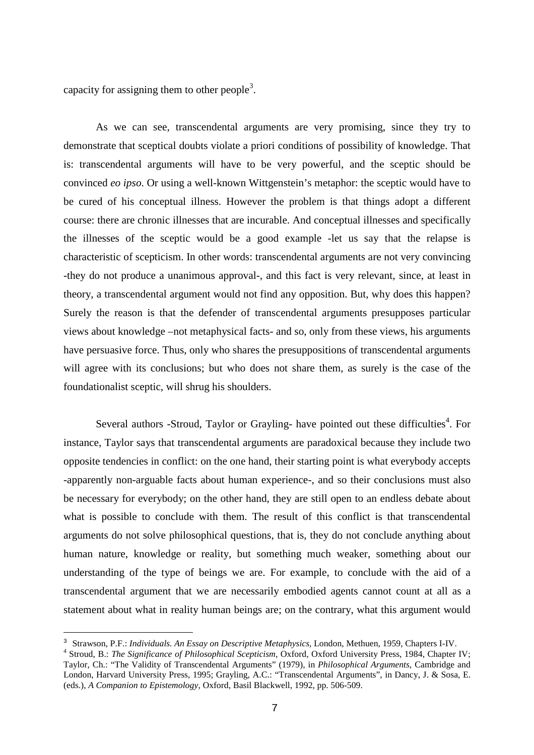capacity for assigning them to other people<sup>3</sup>.

As we can see, transcendental arguments are very promising, since they try to demonstrate that sceptical doubts violate a priori conditions of possibility of knowledge. That is: transcendental arguments will have to be very powerful, and the sceptic should be convinced *eo ipso*. Or using a well-known Wittgenstein's metaphor: the sceptic would have to be cured of his conceptual illness. However the problem is that things adopt a different course: there are chronic illnesses that are incurable. And conceptual illnesses and specifically the illnesses of the sceptic would be a good example -let us say that the relapse is characteristic of scepticism. In other words: transcendental arguments are not very convincing -they do not produce a unanimous approval-, and this fact is very relevant, since, at least in theory, a transcendental argument would not find any opposition. But, why does this happen? Surely the reason is that the defender of transcendental arguments presupposes particular views about knowledge –not metaphysical facts- and so, only from these views, his arguments have persuasive force. Thus, only who shares the presuppositions of transcendental arguments will agree with its conclusions; but who does not share them, as surely is the case of the foundationalist sceptic, will shrug his shoulders.

Several authors -Stroud, Taylor or Grayling- have pointed out these difficulties<sup>4</sup>. For instance, Taylor says that transcendental arguments are paradoxical because they include two opposite tendencies in conflict: on the one hand, their starting point is what everybody accepts -apparently non-arguable facts about human experience-, and so their conclusions must also be necessary for everybody; on the other hand, they are still open to an endless debate about what is possible to conclude with them. The result of this conflict is that transcendental arguments do not solve philosophical questions, that is, they do not conclude anything about human nature, knowledge or reality, but something much weaker, something about our understanding of the type of beings we are. For example, to conclude with the aid of a transcendental argument that we are necessarily embodied agents cannot count at all as a statement about what in reality human beings are; on the contrary, what this argument would

i<br>H

<sup>3</sup> Strawson, P.F.: *Individuals. An Essay on Descriptive Metaphysics,* London, Methuen, 1959, Chapters I-IV.

<sup>&</sup>lt;sup>4</sup> Stroud, B.: *The Significance of Philosophical Scepticism*, Oxford, Oxford University Press, 1984, Chapter IV; Taylor, Ch.: "The Validity of Transcendental Arguments" (1979), in *Philosophical Arguments*, Cambridge and London, Harvard University Press, 1995; Grayling, A.C.: "Transcendental Arguments", in Dancy, J. & Sosa, E. (eds.), *A Companion to Epistemology*, Oxford, Basil Blackwell, 1992, pp. 506-509.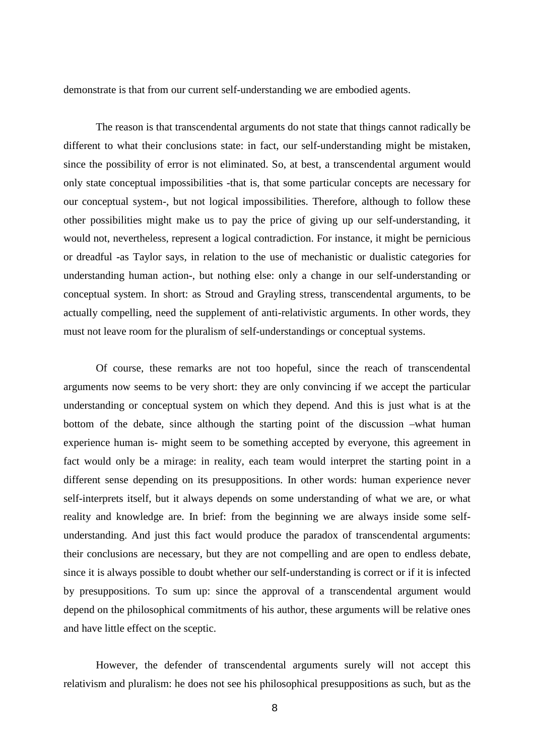demonstrate is that from our current self-understanding we are embodied agents.

 The reason is that transcendental arguments do not state that things cannot radically be different to what their conclusions state: in fact, our self-understanding might be mistaken, since the possibility of error is not eliminated. So, at best, a transcendental argument would only state conceptual impossibilities -that is, that some particular concepts are necessary for our conceptual system-, but not logical impossibilities. Therefore, although to follow these other possibilities might make us to pay the price of giving up our self-understanding, it would not, nevertheless, represent a logical contradiction. For instance, it might be pernicious or dreadful -as Taylor says, in relation to the use of mechanistic or dualistic categories for understanding human action-, but nothing else: only a change in our self-understanding or conceptual system. In short: as Stroud and Grayling stress, transcendental arguments, to be actually compelling, need the supplement of anti-relativistic arguments. In other words, they must not leave room for the pluralism of self-understandings or conceptual systems.

 Of course, these remarks are not too hopeful, since the reach of transcendental arguments now seems to be very short: they are only convincing if we accept the particular understanding or conceptual system on which they depend. And this is just what is at the bottom of the debate, since although the starting point of the discussion –what human experience human is- might seem to be something accepted by everyone, this agreement in fact would only be a mirage: in reality, each team would interpret the starting point in a different sense depending on its presuppositions. In other words: human experience never self-interprets itself, but it always depends on some understanding of what we are, or what reality and knowledge are. In brief: from the beginning we are always inside some selfunderstanding. And just this fact would produce the paradox of transcendental arguments: their conclusions are necessary, but they are not compelling and are open to endless debate, since it is always possible to doubt whether our self-understanding is correct or if it is infected by presuppositions. To sum up: since the approval of a transcendental argument would depend on the philosophical commitments of his author, these arguments will be relative ones and have little effect on the sceptic.

 However, the defender of transcendental arguments surely will not accept this relativism and pluralism: he does not see his philosophical presuppositions as such, but as the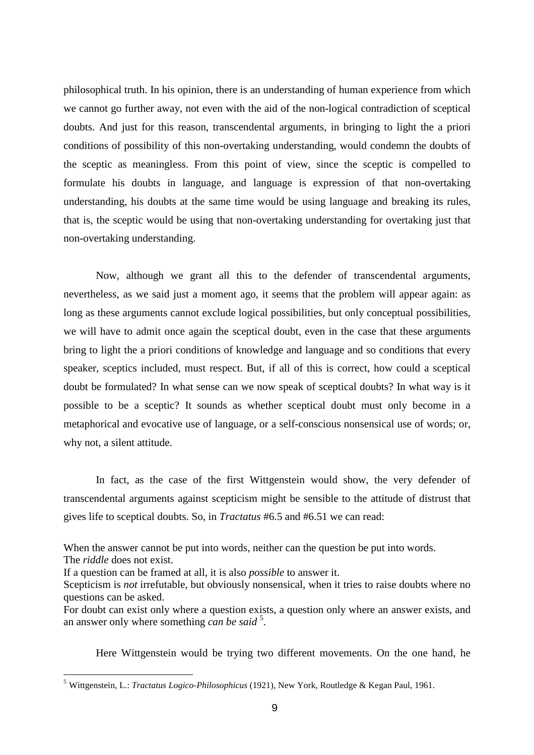philosophical truth. In his opinion, there is an understanding of human experience from which we cannot go further away, not even with the aid of the non-logical contradiction of sceptical doubts. And just for this reason, transcendental arguments, in bringing to light the a priori conditions of possibility of this non-overtaking understanding, would condemn the doubts of the sceptic as meaningless. From this point of view, since the sceptic is compelled to formulate his doubts in language, and language is expression of that non-overtaking understanding, his doubts at the same time would be using language and breaking its rules, that is, the sceptic would be using that non-overtaking understanding for overtaking just that non-overtaking understanding.

 Now, although we grant all this to the defender of transcendental arguments, nevertheless, as we said just a moment ago, it seems that the problem will appear again: as long as these arguments cannot exclude logical possibilities, but only conceptual possibilities, we will have to admit once again the sceptical doubt, even in the case that these arguments bring to light the a priori conditions of knowledge and language and so conditions that every speaker, sceptics included, must respect. But, if all of this is correct, how could a sceptical doubt be formulated? In what sense can we now speak of sceptical doubts? In what way is it possible to be a sceptic? It sounds as whether sceptical doubt must only become in a metaphorical and evocative use of language, or a self-conscious nonsensical use of words; or, why not, a silent attitude.

 In fact, as the case of the first Wittgenstein would show, the very defender of transcendental arguments against scepticism might be sensible to the attitude of distrust that gives life to sceptical doubts. So, in *Tractatus* #6.5 and #6.51 we can read:

When the answer cannot be put into words, neither can the question be put into words.

The *riddle* does not exist.

i<br>H

If a question can be framed at all, it is also *possible* to answer it.

For doubt can exist only where a question exists, a question only where an answer exists, and an answer only where something *can be said* <sup>5</sup> .

Here Wittgenstein would be trying two different movements. On the one hand, he

Scepticism is *not* irrefutable, but obviously nonsensical, when it tries to raise doubts where no questions can be asked.

<sup>5</sup> Wittgenstein, L.: *Tractatus Logico-Philosophicus* (1921), New York, Routledge & Kegan Paul, 1961.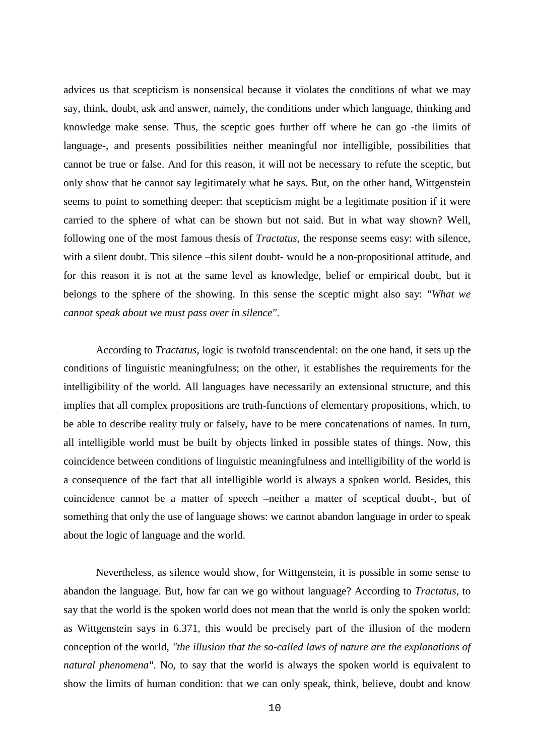advices us that scepticism is nonsensical because it violates the conditions of what we may say, think, doubt, ask and answer, namely, the conditions under which language, thinking and knowledge make sense. Thus, the sceptic goes further off where he can go -the limits of language-, and presents possibilities neither meaningful nor intelligible, possibilities that cannot be true or false. And for this reason, it will not be necessary to refute the sceptic, but only show that he cannot say legitimately what he says. But, on the other hand, Wittgenstein seems to point to something deeper: that scepticism might be a legitimate position if it were carried to the sphere of what can be shown but not said. But in what way shown? Well, following one of the most famous thesis of *Tractatus*, the response seems easy: with silence, with a silent doubt. This silence –this silent doubt- would be a non-propositional attitude, and for this reason it is not at the same level as knowledge, belief or empirical doubt, but it belongs to the sphere of the showing. In this sense the sceptic might also say: *"What we cannot speak about we must pass over in silence"*.

 According to *Tractatus*, logic is twofold transcendental: on the one hand, it sets up the conditions of linguistic meaningfulness; on the other, it establishes the requirements for the intelligibility of the world. All languages have necessarily an extensional structure, and this implies that all complex propositions are truth-functions of elementary propositions, which, to be able to describe reality truly or falsely, have to be mere concatenations of names. In turn, all intelligible world must be built by objects linked in possible states of things. Now, this coincidence between conditions of linguistic meaningfulness and intelligibility of the world is a consequence of the fact that all intelligible world is always a spoken world. Besides, this coincidence cannot be a matter of speech –neither a matter of sceptical doubt-, but of something that only the use of language shows: we cannot abandon language in order to speak about the logic of language and the world.

 Nevertheless, as silence would show, for Wittgenstein, it is possible in some sense to abandon the language. But, how far can we go without language? According to *Tractatus*, to say that the world is the spoken world does not mean that the world is only the spoken world: as Wittgenstein says in 6.371, this would be precisely part of the illusion of the modern conception of the world, *"the illusion that the so-called laws of nature are the explanations of natural phenomena"*. No, to say that the world is always the spoken world is equivalent to show the limits of human condition: that we can only speak, think, believe, doubt and know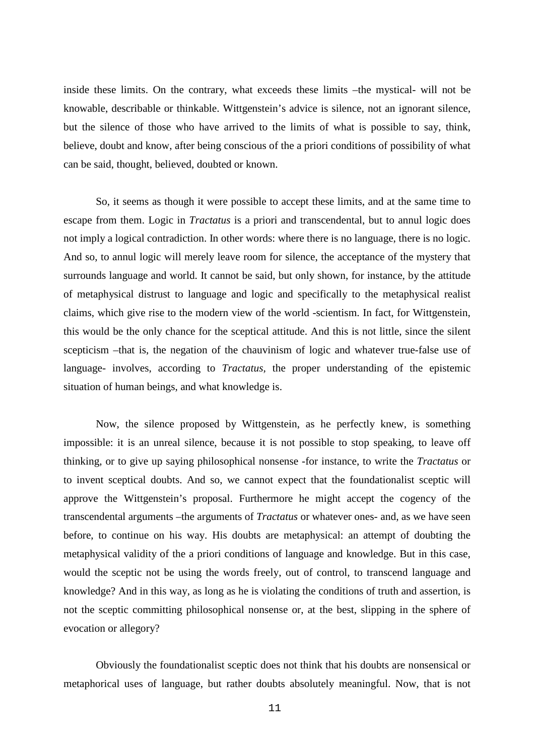inside these limits. On the contrary, what exceeds these limits –the mystical- will not be knowable, describable or thinkable. Wittgenstein's advice is silence, not an ignorant silence, but the silence of those who have arrived to the limits of what is possible to say, think, believe, doubt and know, after being conscious of the a priori conditions of possibility of what can be said, thought, believed, doubted or known.

 So, it seems as though it were possible to accept these limits, and at the same time to escape from them. Logic in *Tractatus* is a priori and transcendental, but to annul logic does not imply a logical contradiction. In other words: where there is no language, there is no logic. And so, to annul logic will merely leave room for silence, the acceptance of the mystery that surrounds language and world. It cannot be said, but only shown, for instance, by the attitude of metaphysical distrust to language and logic and specifically to the metaphysical realist claims, which give rise to the modern view of the world -scientism. In fact, for Wittgenstein, this would be the only chance for the sceptical attitude. And this is not little, since the silent scepticism –that is, the negation of the chauvinism of logic and whatever true-false use of language- involves, according to *Tractatus,* the proper understanding of the epistemic situation of human beings, and what knowledge is.

Now, the silence proposed by Wittgenstein, as he perfectly knew, is something impossible: it is an unreal silence, because it is not possible to stop speaking, to leave off thinking, or to give up saying philosophical nonsense -for instance, to write the *Tractatus* or to invent sceptical doubts. And so, we cannot expect that the foundationalist sceptic will approve the Wittgenstein's proposal. Furthermore he might accept the cogency of the transcendental arguments –the arguments of *Tractatus* or whatever ones- and, as we have seen before, to continue on his way. His doubts are metaphysical: an attempt of doubting the metaphysical validity of the a priori conditions of language and knowledge. But in this case, would the sceptic not be using the words freely, out of control, to transcend language and knowledge? And in this way, as long as he is violating the conditions of truth and assertion, is not the sceptic committing philosophical nonsense or, at the best, slipping in the sphere of evocation or allegory?

Obviously the foundationalist sceptic does not think that his doubts are nonsensical or metaphorical uses of language, but rather doubts absolutely meaningful. Now, that is not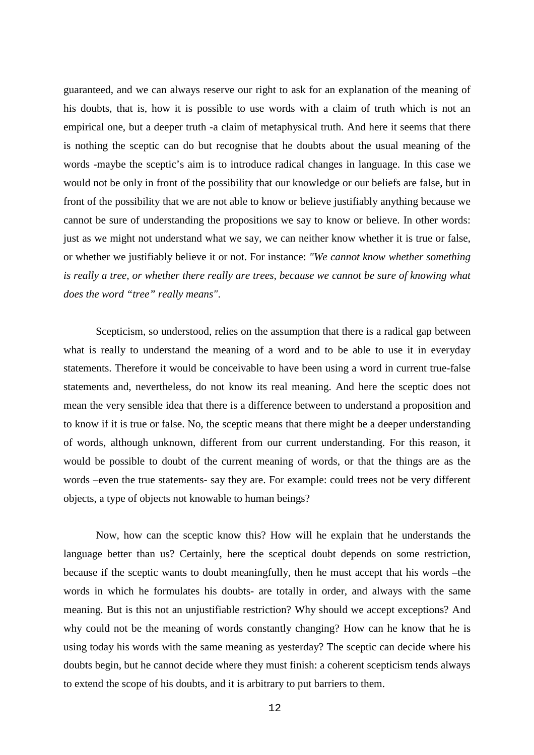guaranteed, and we can always reserve our right to ask for an explanation of the meaning of his doubts, that is, how it is possible to use words with a claim of truth which is not an empirical one, but a deeper truth -a claim of metaphysical truth. And here it seems that there is nothing the sceptic can do but recognise that he doubts about the usual meaning of the words -maybe the sceptic's aim is to introduce radical changes in language. In this case we would not be only in front of the possibility that our knowledge or our beliefs are false, but in front of the possibility that we are not able to know or believe justifiably anything because we cannot be sure of understanding the propositions we say to know or believe. In other words: just as we might not understand what we say, we can neither know whether it is true or false, or whether we justifiably believe it or not. For instance: *"We cannot know whether something is really a tree, or whether there really are trees, because we cannot be sure of knowing what does the word "tree" really means"*.

 Scepticism, so understood, relies on the assumption that there is a radical gap between what is really to understand the meaning of a word and to be able to use it in everyday statements. Therefore it would be conceivable to have been using a word in current true-false statements and, nevertheless, do not know its real meaning. And here the sceptic does not mean the very sensible idea that there is a difference between to understand a proposition and to know if it is true or false. No, the sceptic means that there might be a deeper understanding of words, although unknown, different from our current understanding. For this reason, it would be possible to doubt of the current meaning of words, or that the things are as the words –even the true statements- say they are. For example: could trees not be very different objects, a type of objects not knowable to human beings?

Now, how can the sceptic know this? How will he explain that he understands the language better than us? Certainly, here the sceptical doubt depends on some restriction, because if the sceptic wants to doubt meaningfully, then he must accept that his words –the words in which he formulates his doubts- are totally in order, and always with the same meaning. But is this not an unjustifiable restriction? Why should we accept exceptions? And why could not be the meaning of words constantly changing? How can he know that he is using today his words with the same meaning as yesterday? The sceptic can decide where his doubts begin, but he cannot decide where they must finish: a coherent scepticism tends always to extend the scope of his doubts, and it is arbitrary to put barriers to them.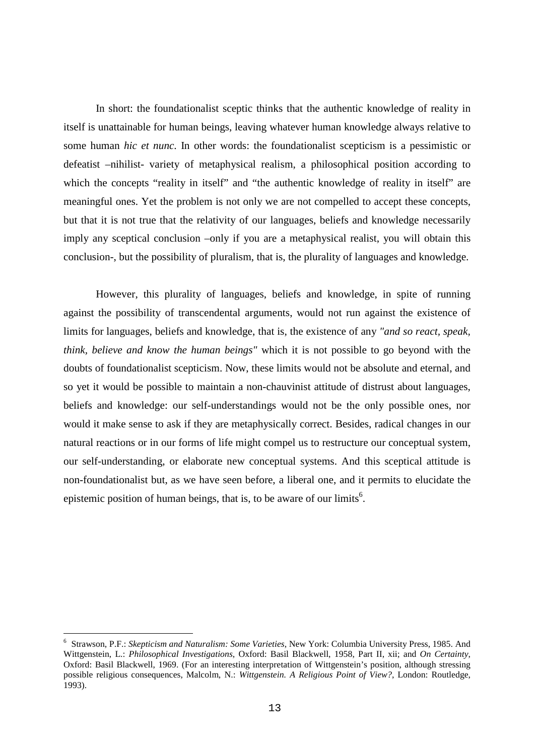In short: the foundationalist sceptic thinks that the authentic knowledge of reality in itself is unattainable for human beings, leaving whatever human knowledge always relative to some human *hic et nunc*. In other words: the foundationalist scepticism is a pessimistic or defeatist –nihilist- variety of metaphysical realism, a philosophical position according to which the concepts "reality in itself" and "the authentic knowledge of reality in itself" are meaningful ones. Yet the problem is not only we are not compelled to accept these concepts, but that it is not true that the relativity of our languages, beliefs and knowledge necessarily imply any sceptical conclusion –only if you are a metaphysical realist, you will obtain this conclusion-, but the possibility of pluralism, that is, the plurality of languages and knowledge.

 However, this plurality of languages, beliefs and knowledge, in spite of running against the possibility of transcendental arguments, would not run against the existence of limits for languages, beliefs and knowledge, that is, the existence of any *"and so react, speak, think, believe and know the human beings"* which it is not possible to go beyond with the doubts of foundationalist scepticism. Now, these limits would not be absolute and eternal, and so yet it would be possible to maintain a non-chauvinist attitude of distrust about languages, beliefs and knowledge: our self-understandings would not be the only possible ones, nor would it make sense to ask if they are metaphysically correct. Besides, radical changes in our natural reactions or in our forms of life might compel us to restructure our conceptual system, our self-understanding, or elaborate new conceptual systems. And this sceptical attitude is non-foundationalist but, as we have seen before, a liberal one, and it permits to elucidate the epistemic position of human beings, that is, to be aware of our limits<sup>6</sup>.

e<br>S

<sup>6</sup> Strawson, P.F.: *Skepticism and Naturalism: Some Varieties*, New York: Columbia University Press, 1985. And Wittgenstein, L.: *Philosophical Investigations*, Oxford: Basil Blackwell, 1958, Part II, xii; and *On Certainty*, Oxford: Basil Blackwell, 1969. (For an interesting interpretation of Wittgenstein's position, although stressing possible religious consequences, Malcolm, N.: *Wittgenstein. A Religious Point of View?*, London: Routledge, 1993).